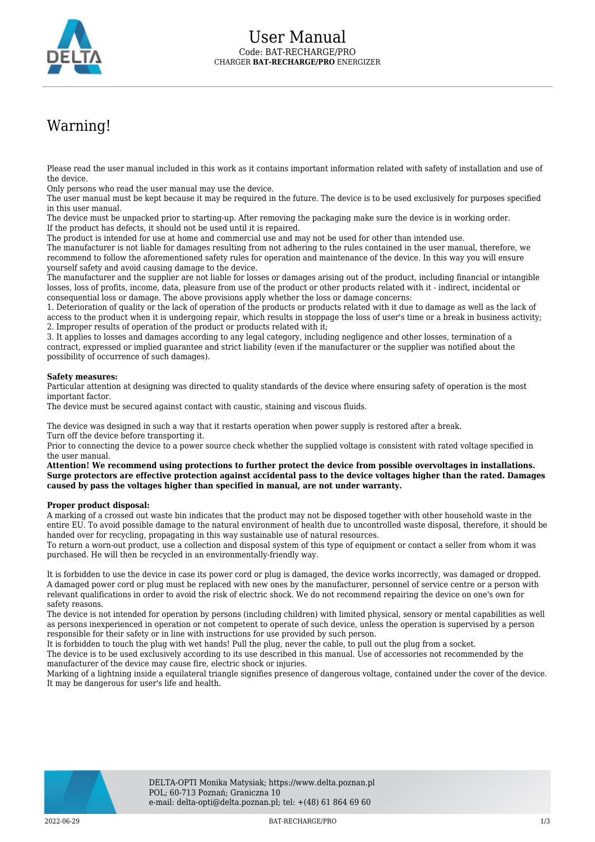

## Warning!

Please read the user manual included in this work as it contains important information related with safety of installation and use of the device.

Only persons who read the user manual may use the device.

The user manual must be kept because it may be required in the future. The device is to be used exclusively for purposes specified in this user manual.

The device must be unpacked prior to starting-up. After removing the packaging make sure the device is in working order. If the product has defects, it should not be used until it is repaired.

The product is intended for use at home and commercial use and may not be used for other than intended use.

The manufacturer is not liable for damages resulting from not adhering to the rules contained in the user manual, therefore, we recommend to follow the aforementioned safety rules for operation and maintenance of the device. In this way you will ensure yourself safety and avoid causing damage to the device.

The manufacturer and the supplier are not liable for losses or damages arising out of the product, including financial or intangible losses, loss of profits, income, data, pleasure from use of the product or other products related with it - indirect, incidental or consequential loss or damage. The above provisions apply whether the loss or damage concerns:

1. Deterioration of quality or the lack of operation of the products or products related with it due to damage as well as the lack of access to the product when it is undergoing repair, which results in stoppage the loss of user's time or a break in business activity; 2. Improper results of operation of the product or products related with it;

3. It applies to losses and damages according to any legal category, including negligence and other losses, termination of a contract, expressed or implied guarantee and strict liability (even if the manufacturer or the supplier was notified about the possibility of occurrence of such damages).

## **Safety measures:**

Particular attention at designing was directed to quality standards of the device where ensuring safety of operation is the most important factor.

The device must be secured against contact with caustic, staining and viscous fluids.

The device was designed in such a way that it restarts operation when power supply is restored after a break. Turn off the device before transporting it.

Prior to connecting the device to a power source check whether the supplied voltage is consistent with rated voltage specified in the user manual.

**Attention! We recommend using protections to further protect the device from possible overvoltages in installations. Surge protectors are effective protection against accidental pass to the device voltages higher than the rated. Damages caused by pass the voltages higher than specified in manual, are not under warranty.**

## **Proper product disposal:**

A marking of a crossed out waste bin indicates that the product may not be disposed together with other household waste in the entire EU. To avoid possible damage to the natural environment of health due to uncontrolled waste disposal, therefore, it should be handed over for recycling, propagating in this way sustainable use of natural resources.

To return a worn-out product, use a collection and disposal system of this type of equipment or contact a seller from whom it was purchased. He will then be recycled in an environmentally-friendly way.

It is forbidden to use the device in case its power cord or plug is damaged, the device works incorrectly, was damaged or dropped. A damaged power cord or plug must be replaced with new ones by the manufacturer, personnel of service centre or a person with relevant qualifications in order to avoid the risk of electric shock. We do not recommend repairing the device on one's own for safety reasons.

The device is not intended for operation by persons (including children) with limited physical, sensory or mental capabilities as well as persons inexperienced in operation or not competent to operate of such device, unless the operation is supervised by a person responsible for their safety or in line with instructions for use provided by such person.

It is forbidden to touch the plug with wet hands! Pull the plug, never the cable, to pull out the plug from a socket.

The device is to be used exclusively according to its use described in this manual. Use of accessories not recommended by the manufacturer of the device may cause fire, electric shock or injuries.

Marking of a lightning inside a equilateral triangle signifies presence of dangerous voltage, contained under the cover of the device. It may be dangerous for user's life and health.

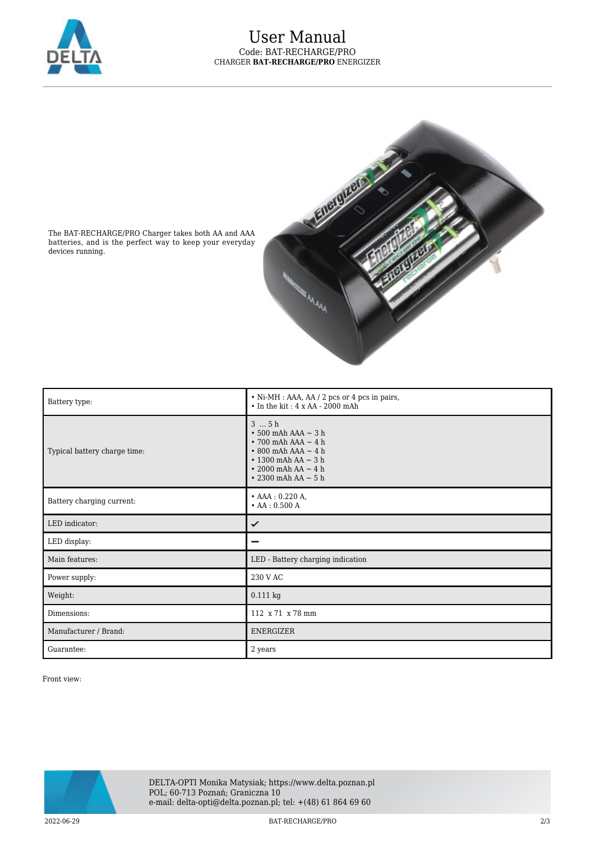

## User Manual Code: BAT-RECHARGE/PRO CHARGER **BAT-RECHARGE/PRO** ENERGIZER



The BAT-RECHARGE/PRO Charger takes both AA and AAA batteries, and is the perfect way to keep your everyday devices running.

| Battery type:                | • Ni-MH : AAA, AA / 2 pcs or 4 pcs in pairs,<br>$\cdot$ In the kit: $4 \times AA - 2000$ mAh                                                                                                        |
|------------------------------|-----------------------------------------------------------------------------------------------------------------------------------------------------------------------------------------------------|
| Typical battery charge time: | 35h<br>$\cdot$ 500 mAh AAA $\sim$ 3 h<br>$\cdot$ 700 mAh AAA $\sim$ 4 h<br>$\cdot$ 800 mAh AAA $\sim$ 4 h<br>$\cdot$ 1300 mAh AA $\sim$ 3 h<br>• 2000 mAh AA $\sim$ 4 h<br>• 2300 mAh AA $\sim$ 5 h |
| Battery charging current:    | • $AAA: 0.220 A$ ,<br>• $AA : 0.500 A$                                                                                                                                                              |
| LED indicator:               | ✓                                                                                                                                                                                                   |
| LED display:                 | -                                                                                                                                                                                                   |
|                              |                                                                                                                                                                                                     |
| Main features:               | LED - Battery charging indication                                                                                                                                                                   |
| Power supply:                | 230 V AC                                                                                                                                                                                            |
| Weight:                      | $0.111$ kg                                                                                                                                                                                          |
| Dimensions:                  | 112 x 71 x 78 mm                                                                                                                                                                                    |
| Manufacturer / Brand:        | ENERGIZER                                                                                                                                                                                           |

Front view:



2022-06-29 BAT-RECHARGE/PRO 2/3